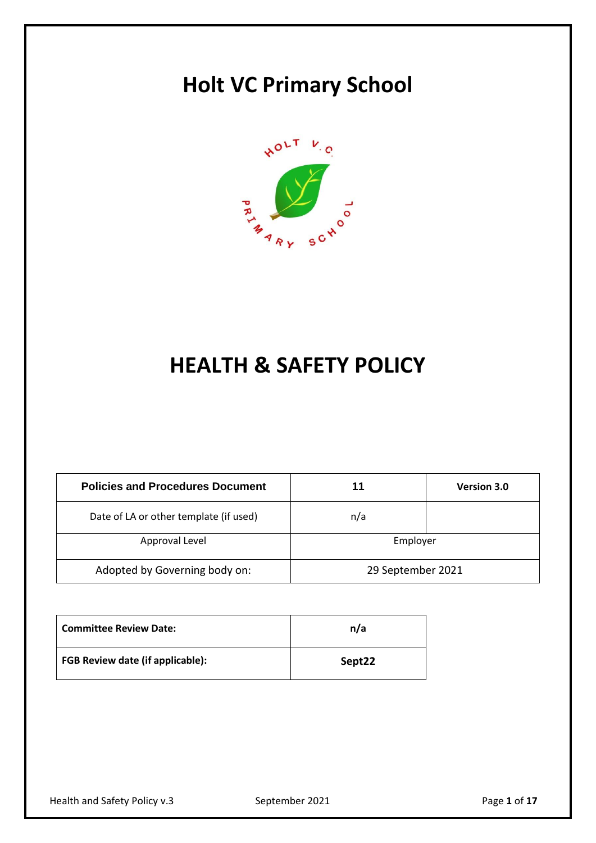# **Holt VC Primary School**



# **HEALTH & SAFETY POLICY**

| <b>Policies and Procedures Document</b> | 11                | <b>Version 3.0</b> |
|-----------------------------------------|-------------------|--------------------|
| Date of LA or other template (if used)  | n/a               |                    |
| Approval Level                          | Employer          |                    |
| Adopted by Governing body on:           | 29 September 2021 |                    |

| <b>Committee Review Date:</b>           | n/a    |
|-----------------------------------------|--------|
| <b>FGB Review date (if applicable):</b> | Sept22 |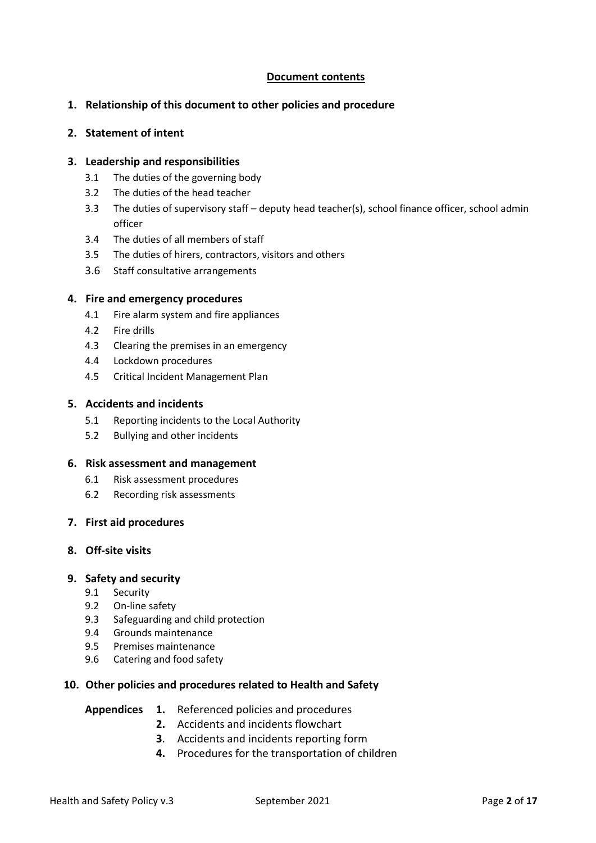# **Document contents**

## **1. Relationship of this document to other policies and procedure**

#### **2. Statement of intent**

## **3. Leadership and responsibilities**

- 3.1 The duties of the governing body
- 3.2 The duties of the head teacher
- 3.3 The duties of supervisory staff deputy head teacher(s), school finance officer, school admin officer
- 3.4 The duties of all members of staff
- 3.5 The duties of hirers, contractors, visitors and others
- 3.6 Staff consultative arrangements

#### **4. Fire and emergency procedures**

- 4.1 Fire alarm system and fire appliances
- 4.2 Fire drills
- 4.3 Clearing the premises in an emergency
- 4.4 Lockdown procedures
- 4.5 Critical Incident Management Plan

#### **5. Accidents and incidents**

- 5.1 Reporting incidents to the Local Authority
- 5.2 Bullying and other incidents

#### **6. Risk assessment and management**

- 6.1 Risk assessment procedures
- 6.2 Recording risk assessments
- **7. First aid procedures**

#### **8. Off-site visits**

#### **9. Safety and security**

- 9.1 Security
- 9.2 On-line safety
- 9.3 Safeguarding and child protection
- 9.4 Grounds maintenance
- 9.5 Premises maintenance
- 9.6 Catering and food safety

# **10. Other policies and procedures related to Health and Safety**

| <b>Appendices</b> |  |  |  | Referenced policies and procedures |
|-------------------|--|--|--|------------------------------------|
|-------------------|--|--|--|------------------------------------|

- **2.** Accidents and incidents flowchart
- **3**. Accidents and incidents reporting form
- **4.** Procedures for the transportation of children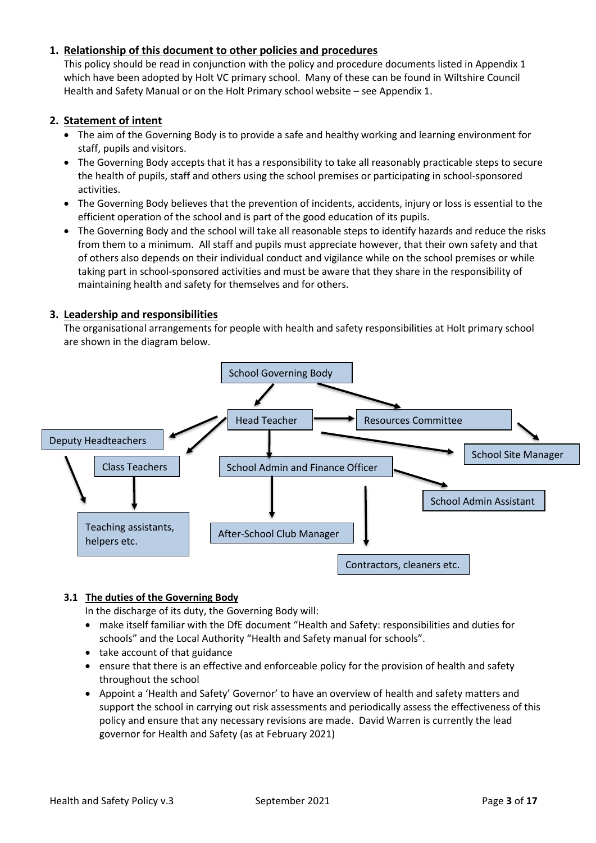# **1. Relationship of this document to other policies and procedures**

This policy should be read in conjunction with the policy and procedure documents listed in Appendix 1 which have been adopted by Holt VC primary school. Many of these can be found in Wiltshire Council Health and Safety Manual or on the Holt Primary school website – see Appendix 1.

# **2. Statement of intent**

- The aim of the Governing Body is to provide a safe and healthy working and learning environment for staff, pupils and visitors.
- The Governing Body accepts that it has a responsibility to take all reasonably practicable steps to secure the health of pupils, staff and others using the school premises or participating in school-sponsored activities.
- The Governing Body believes that the prevention of incidents, accidents, injury or loss is essential to the efficient operation of the school and is part of the good education of its pupils.
- The Governing Body and the school will take all reasonable steps to identify hazards and reduce the risks from them to a minimum. All staff and pupils must appreciate however, that their own safety and that of others also depends on their individual conduct and vigilance while on the school premises or while taking part in school-sponsored activities and must be aware that they share in the responsibility of maintaining health and safety for themselves and for others.

# **3. Leadership and responsibilities**

The organisational arrangements for people with health and safety responsibilities at Holt primary school are shown in the diagram below.



# **3.1 The duties of the Governing Body**

In the discharge of its duty, the Governing Body will:

- make itself familiar with the DfE document "Health and Safety: responsibilities and duties for schools" and the Local Authority "Health and Safety manual for schools".
- take account of that guidance
- ensure that there is an effective and enforceable policy for the provision of health and safety throughout the school
- Appoint a 'Health and Safety' Governor' to have an overview of health and safety matters and support the school in carrying out risk assessments and periodically assess the effectiveness of this policy and ensure that any necessary revisions are made. David Warren is currently the lead governor for Health and Safety (as at February 2021)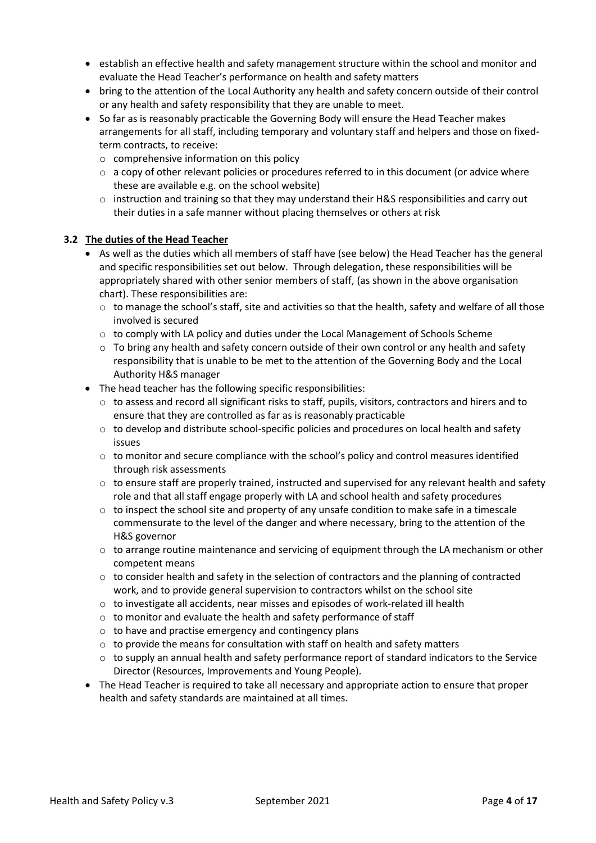- establish an effective health and safety management structure within the school and monitor and evaluate the Head Teacher's performance on health and safety matters
- bring to the attention of the Local Authority any health and safety concern outside of their control or any health and safety responsibility that they are unable to meet.
- So far as is reasonably practicable the Governing Body will ensure the Head Teacher makes arrangements for all staff, including temporary and voluntary staff and helpers and those on fixedterm contracts, to receive:
	- o comprehensive information on this policy
	- $\circ$  a copy of other relevant policies or procedures referred to in this document (or advice where these are available e.g. on the school website)
	- $\circ$  instruction and training so that they may understand their H&S responsibilities and carry out their duties in a safe manner without placing themselves or others at risk

## **3.2 The duties of the Head Teacher**

- As well as the duties which all members of staff have (see below) the Head Teacher has the general and specific responsibilities set out below. Through delegation, these responsibilities will be appropriately shared with other senior members of staff, (as shown in the above organisation chart). These responsibilities are:
	- $\circ$  to manage the school's staff, site and activities so that the health, safety and welfare of all those involved is secured
	- $\circ$  to comply with LA policy and duties under the Local Management of Schools Scheme
	- $\circ$  To bring any health and safety concern outside of their own control or any health and safety responsibility that is unable to be met to the attention of the Governing Body and the Local Authority H&S manager
- The head teacher has the following specific responsibilities:
	- $\circ$  to assess and record all significant risks to staff, pupils, visitors, contractors and hirers and to ensure that they are controlled as far as is reasonably practicable
	- $\circ$  to develop and distribute school-specific policies and procedures on local health and safety issues
	- $\circ$  to monitor and secure compliance with the school's policy and control measures identified through risk assessments
	- $\circ$  to ensure staff are properly trained, instructed and supervised for any relevant health and safety role and that all staff engage properly with LA and school health and safety procedures
	- $\circ$  to inspect the school site and property of any unsafe condition to make safe in a timescale commensurate to the level of the danger and where necessary, bring to the attention of the H&S governor
	- $\circ$  to arrange routine maintenance and servicing of equipment through the LA mechanism or other competent means
	- $\circ$  to consider health and safety in the selection of contractors and the planning of contracted work, and to provide general supervision to contractors whilst on the school site
	- $\circ$  to investigate all accidents, near misses and episodes of work-related ill health
	- o to monitor and evaluate the health and safety performance of staff
	- $\circ$  to have and practise emergency and contingency plans
	- $\circ$  to provide the means for consultation with staff on health and safety matters
	- $\circ$  to supply an annual health and safety performance report of standard indicators to the Service Director (Resources, Improvements and Young People).
- The Head Teacher is required to take all necessary and appropriate action to ensure that proper health and safety standards are maintained at all times.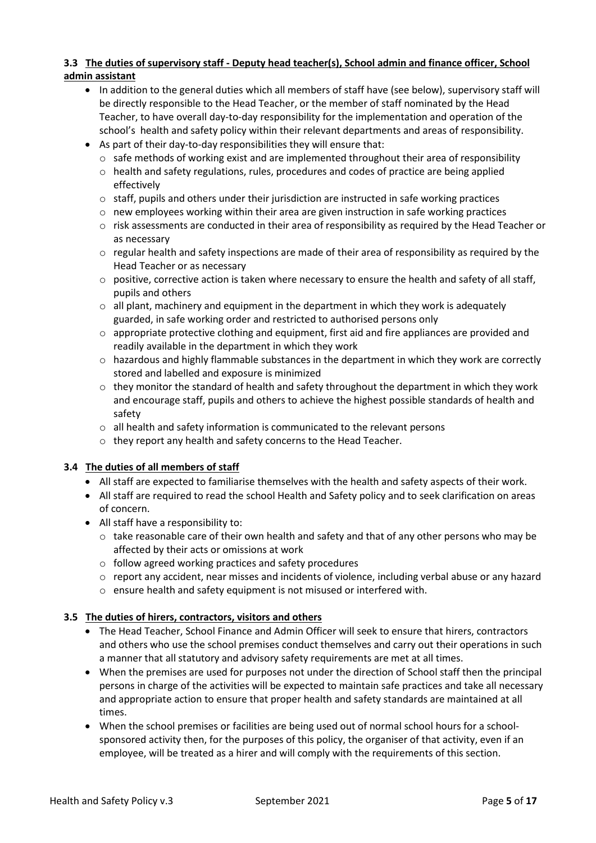# **3.3 The duties of supervisory staff - Deputy head teacher(s), School admin and finance officer, School admin assistant**

- In addition to the general duties which all members of staff have (see below), supervisory staff will be directly responsible to the Head Teacher, or the member of staff nominated by the Head Teacher, to have overall day-to-day responsibility for the implementation and operation of the school's health and safety policy within their relevant departments and areas of responsibility.
- As part of their day-to-day responsibilities they will ensure that:
	- $\circ$  safe methods of working exist and are implemented throughout their area of responsibility
	- $\circ$  health and safety regulations, rules, procedures and codes of practice are being applied effectively
	- $\circ$  staff, pupils and others under their jurisdiction are instructed in safe working practices
	- $\circ$  new employees working within their area are given instruction in safe working practices
	- $\circ$  risk assessments are conducted in their area of responsibility as required by the Head Teacher or as necessary
	- $\circ$  regular health and safety inspections are made of their area of responsibility as required by the Head Teacher or as necessary
	- $\circ$  positive, corrective action is taken where necessary to ensure the health and safety of all staff, pupils and others
	- $\circ$  all plant, machinery and equipment in the department in which they work is adequately guarded, in safe working order and restricted to authorised persons only
	- $\circ$  appropriate protective clothing and equipment, first aid and fire appliances are provided and readily available in the department in which they work
	- $\circ$  hazardous and highly flammable substances in the department in which they work are correctly stored and labelled and exposure is minimized
	- $\circ$  they monitor the standard of health and safety throughout the department in which they work and encourage staff, pupils and others to achieve the highest possible standards of health and safety
	- o all health and safety information is communicated to the relevant persons
	- o they report any health and safety concerns to the Head Teacher.

# **3.4 The duties of all members of staff**

- All staff are expected to familiarise themselves with the health and safety aspects of their work.
- All staff are required to read the school Health and Safety policy and to seek clarification on areas of concern.
- All staff have a responsibility to:
	- $\circ$  take reasonable care of their own health and safety and that of any other persons who may be affected by their acts or omissions at work
	- o follow agreed working practices and safety procedures
	- o report any accident, near misses and incidents of violence, including verbal abuse or any hazard
	- o ensure health and safety equipment is not misused or interfered with.

# **3.5 The duties of hirers, contractors, visitors and others**

- The Head Teacher, School Finance and Admin Officer will seek to ensure that hirers, contractors and others who use the school premises conduct themselves and carry out their operations in such a manner that all statutory and advisory safety requirements are met at all times.
- When the premises are used for purposes not under the direction of School staff then the principal persons in charge of the activities will be expected to maintain safe practices and take all necessary and appropriate action to ensure that proper health and safety standards are maintained at all times.
- When the school premises or facilities are being used out of normal school hours for a schoolsponsored activity then, for the purposes of this policy, the organiser of that activity, even if an employee, will be treated as a hirer and will comply with the requirements of this section.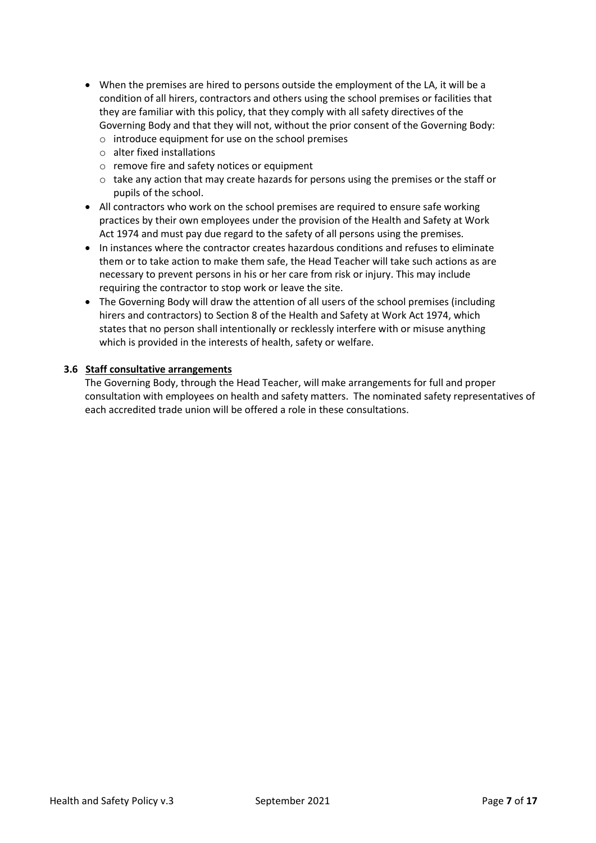- When the premises are hired to persons outside the employment of the LA, it will be a condition of all hirers, contractors and others using the school premises or facilities that they are familiar with this policy, that they comply with all safety directives of the Governing Body and that they will not, without the prior consent of the Governing Body:
	- o introduce equipment for use on the school premises
	- o alter fixed installations
	- o remove fire and safety notices or equipment
	- $\circ$  take any action that may create hazards for persons using the premises or the staff or pupils of the school.
- All contractors who work on the school premises are required to ensure safe working practices by their own employees under the provision of the Health and Safety at Work Act 1974 and must pay due regard to the safety of all persons using the premises.
- In instances where the contractor creates hazardous conditions and refuses to eliminate them or to take action to make them safe, the Head Teacher will take such actions as are necessary to prevent persons in his or her care from risk or injury. This may include requiring the contractor to stop work or leave the site.
- The Governing Body will draw the attention of all users of the school premises (including hirers and contractors) to Section 8 of the Health and Safety at Work Act 1974, which states that no person shall intentionally or recklessly interfere with or misuse anything which is provided in the interests of health, safety or welfare.

## **3.6 Staff consultative arrangements**

The Governing Body, through the Head Teacher, will make arrangements for full and proper consultation with employees on health and safety matters. The nominated safety representatives of each accredited trade union will be offered a role in these consultations.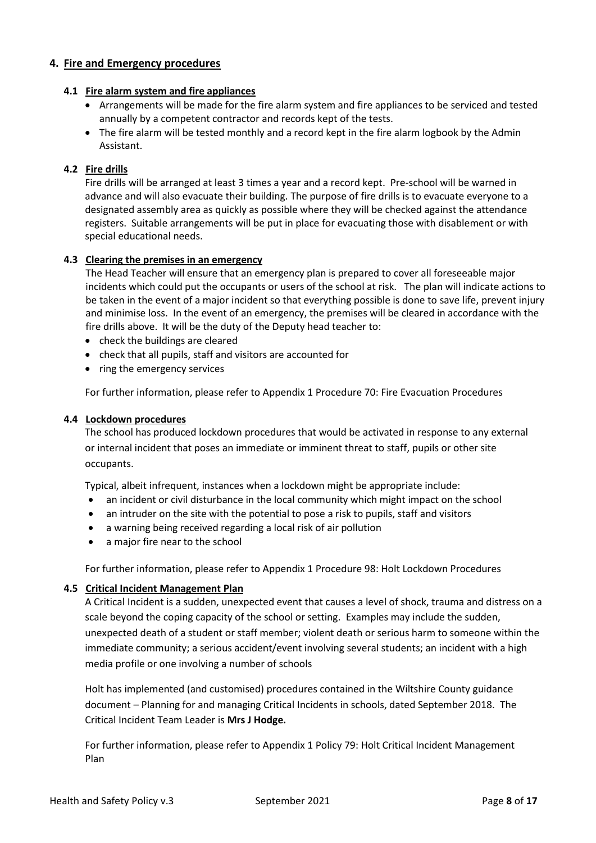## **4. Fire and Emergency procedures**

#### **4.1 Fire alarm system and fire appliances**

- Arrangements will be made for the fire alarm system and fire appliances to be serviced and tested annually by a competent contractor and records kept of the tests.
- The fire alarm will be tested monthly and a record kept in the fire alarm logbook by the Admin Assistant.

## **4.2 Fire drills**

Fire drills will be arranged at least 3 times a year and a record kept. Pre-school will be warned in advance and will also evacuate their building. The purpose of fire drills is to evacuate everyone to a designated assembly area as quickly as possible where they will be checked against the attendance registers. Suitable arrangements will be put in place for evacuating those with disablement or with special educational needs.

## **4.3 Clearing the premises in an emergency**

The Head Teacher will ensure that an emergency plan is prepared to cover all foreseeable major incidents which could put the occupants or users of the school at risk. The plan will indicate actions to be taken in the event of a major incident so that everything possible is done to save life, prevent injury and minimise loss. In the event of an emergency, the premises will be cleared in accordance with the fire drills above. It will be the duty of the Deputy head teacher to:

- check the buildings are cleared
- check that all pupils, staff and visitors are accounted for
- ring the emergency services

For further information, please refer to Appendix 1 Procedure 70: Fire Evacuation Procedures

#### **4.4 Lockdown procedures**

The school has produced lockdown procedures that would be activated in response to any external or internal incident that poses an immediate or imminent threat to staff, pupils or other site occupants.

Typical, albeit infrequent, instances when a lockdown might be appropriate include:

- an incident or civil disturbance in the local community which might impact on the school
- an intruder on the site with the potential to pose a risk to pupils, staff and visitors
- a warning being received regarding a local risk of air pollution
- a major fire near to the school

For further information, please refer to Appendix 1 Procedure 98: Holt Lockdown Procedures

#### **4.5 Critical Incident Management Plan**

A Critical Incident is a sudden, unexpected event that causes a level of shock, trauma and distress on a scale beyond the coping capacity of the school or setting. Examples may include the sudden, unexpected death of a student or staff member; violent death or serious harm to someone within the immediate community; a serious accident/event involving several students; an incident with a high media profile or one involving a number of schools

Holt has implemented (and customised) procedures contained in the Wiltshire County guidance document – Planning for and managing Critical Incidents in schools, dated September 2018. The Critical Incident Team Leader is **Mrs J Hodge.**

For further information, please refer to Appendix 1 Policy 79: Holt Critical Incident Management Plan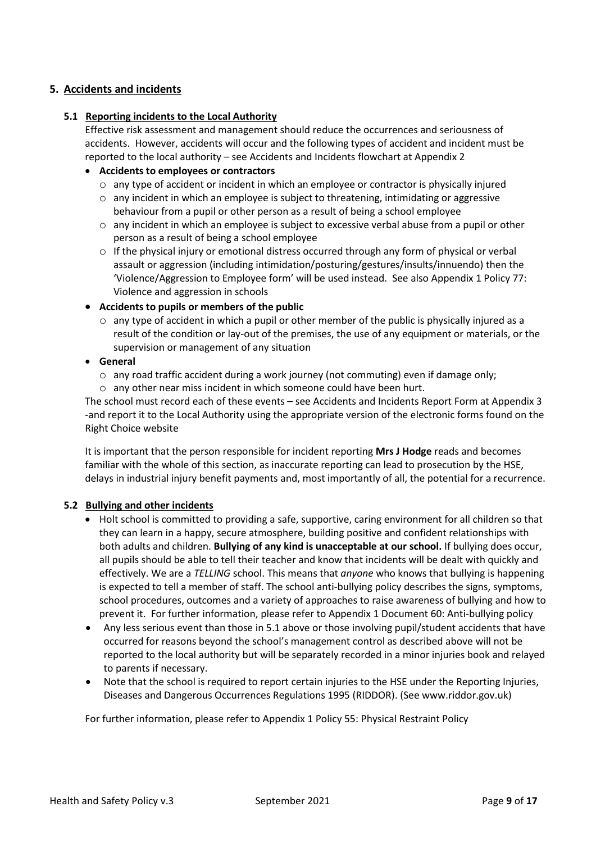# **5. Accidents and incidents**

## **5.1 Reporting incidents to the Local Authority**

Effective risk assessment and management should reduce the occurrences and seriousness of accidents. However, accidents will occur and the following types of accident and incident must be reported to the local authority – see Accidents and Incidents flowchart at Appendix 2

## **Accidents to employees or contractors**

- o any type of accident or incident in which an employee or contractor is physically injured
- $\circ$  any incident in which an employee is subject to threatening, intimidating or aggressive behaviour from a pupil or other person as a result of being a school employee
- $\circ$  any incident in which an employee is subject to excessive verbal abuse from a pupil or other person as a result of being a school employee
- $\circ$  If the physical injury or emotional distress occurred through any form of physical or verbal assault or aggression (including intimidation/posturing/gestures/insults/innuendo) then the 'Violence/Aggression to Employee form' will be used instead. See also Appendix 1 Policy 77: Violence and aggression in schools

## **Accidents to pupils or members of the public**

- $\circ$  any type of accident in which a pupil or other member of the public is physically injured as a result of the condition or lay-out of the premises, the use of any equipment or materials, or the supervision or management of any situation
- **General**
	- $\circ$  any road traffic accident during a work journey (not commuting) even if damage only;
	- o any other near miss incident in which someone could have been hurt.

The school must record each of these events – see Accidents and Incidents Report Form at Appendix 3 -and report it to the Local Authority using the appropriate version of the electronic forms found on the Right Choice website

It is important that the person responsible for incident reporting **Mrs J Hodge** reads and becomes familiar with the whole of this section, as inaccurate reporting can lead to prosecution by the HSE, delays in industrial injury benefit payments and, most importantly of all, the potential for a recurrence.

#### **5.2 Bullying and other incidents**

- Holt school is committed to providing a safe, supportive, caring environment for all children so that they can learn in a happy, secure atmosphere, building positive and confident relationships with both adults and children. **Bullying of any kind is unacceptable at our school.** If bullying does occur, all pupils should be able to tell their teacher and know that incidents will be dealt with quickly and effectively. We are a *TELLING* school. This means that *anyone* who knows that bullying is happening is expected to tell a member of staff. The school anti-bullying policy describes the signs, symptoms, school procedures, outcomes and a variety of approaches to raise awareness of bullying and how to prevent it. For further information, please refer to Appendix 1 Document 60: Anti-bullying policy
- Any less serious event than those in 5.1 above or those involving pupil/student accidents that have occurred for reasons beyond the school's management control as described above will not be reported to the local authority but will be separately recorded in a minor injuries book and relayed to parents if necessary.
- Note that the school is required to report certain injuries to the HSE under the Reporting Injuries, Diseases and Dangerous Occurrences Regulations 1995 (RIDDOR). (See www.riddor.gov.uk)

For further information, please refer to Appendix 1 Policy 55: Physical Restraint Policy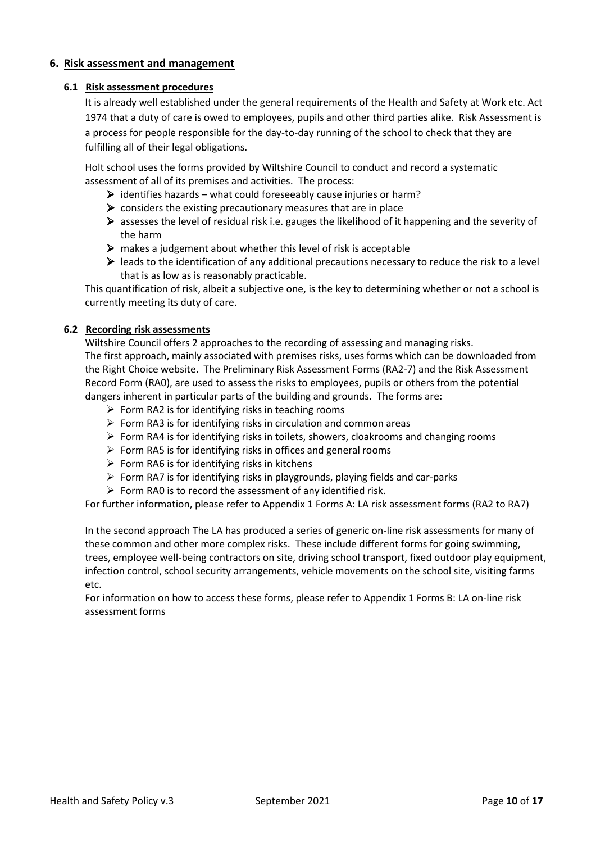## **6. Risk assessment and management**

#### **6.1 Risk assessment procedures**

It is already well established under the general requirements of the Health and Safety at Work etc. Act 1974 that a duty of care is owed to employees, pupils and other third parties alike. Risk Assessment is a process for people responsible for the day-to-day running of the school to check that they are fulfilling all of their legal obligations.

Holt school uses the forms provided by Wiltshire Council to conduct and record a systematic assessment of all of its premises and activities. The process:

- $\triangleright$  identifies hazards what could foreseeably cause injuries or harm?
- $\triangleright$  considers the existing precautionary measures that are in place
- $\triangleright$  assesses the level of residual risk i.e. gauges the likelihood of it happening and the severity of the harm
- $\triangleright$  makes a judgement about whether this level of risk is acceptable
- leads to the identification of any additional precautions necessary to reduce the risk to a level that is as low as is reasonably practicable.

This quantification of risk, albeit a subjective one, is the key to determining whether or not a school is currently meeting its duty of care.

## **6.2 Recording risk assessments**

Wiltshire Council offers 2 approaches to the recording of assessing and managing risks. The first approach, mainly associated with premises risks, uses forms which can be downloaded from the Right Choice website. The Preliminary Risk Assessment Forms (RA2-7) and the Risk Assessment Record Form (RA0), are used to assess the risks to employees, pupils or others from the potential dangers inherent in particular parts of the building and grounds. The forms are:

- $\triangleright$  Form RA2 is for identifying risks in teaching rooms
- $\triangleright$  Form RA3 is for identifying risks in circulation and common areas
- $\triangleright$  Form RA4 is for identifying risks in toilets, showers, cloakrooms and changing rooms
- $\triangleright$  Form RA5 is for identifying risks in offices and general rooms
- $\triangleright$  Form RA6 is for identifying risks in kitchens
- $\triangleright$  Form RA7 is for identifying risks in playgrounds, playing fields and car-parks
- $\triangleright$  Form RA0 is to record the assessment of any identified risk.

For further information, please refer to Appendix 1 Forms A: LA risk assessment forms (RA2 to RA7)

In the second approach The LA has produced a series of generic on-line risk assessments for many of these common and other more complex risks. These include different forms for going swimming, trees, employee well-being contractors on site, driving school transport, fixed outdoor play equipment, infection control, school security arrangements, vehicle movements on the school site, visiting farms etc.

For information on how to access these forms, please refer to Appendix 1 Forms B: LA on-line risk assessment forms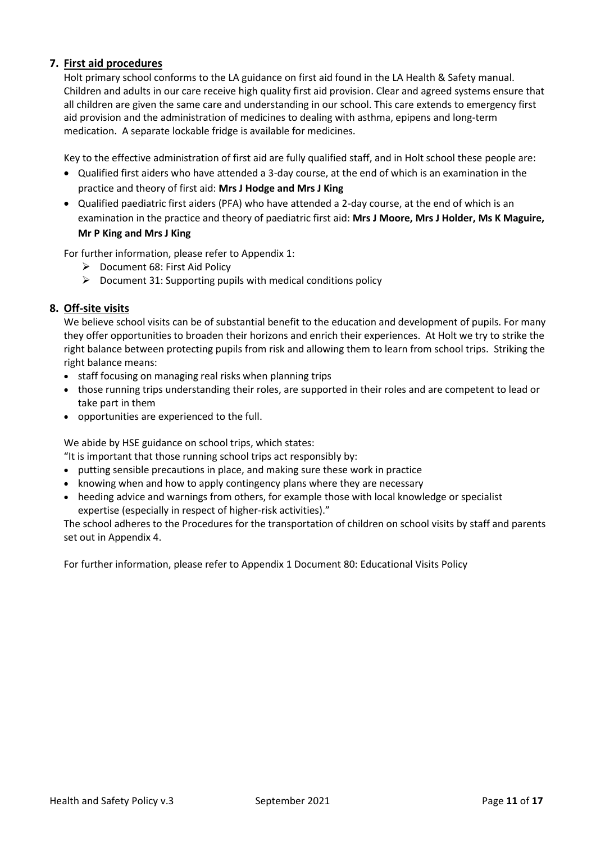# **7. First aid procedures**

Holt primary school conforms to the LA guidance on first aid found in the LA Health & Safety manual. Children and adults in our care receive high quality first aid provision. Clear and agreed systems ensure that all children are given the same care and understanding in our school. This care extends to emergency first aid provision and the administration of medicines to dealing with asthma, epipens and long-term medication. A separate lockable fridge is available for medicines.

Key to the effective administration of first aid are fully qualified staff, and in Holt school these people are:

- Qualified first aiders who have attended a 3-day course, at the end of which is an examination in the practice and theory of first aid: **Mrs J Hodge and Mrs J King**
- Qualified paediatric first aiders (PFA) who have attended a 2-day course, at the end of which is an examination in the practice and theory of paediatric first aid: **Mrs J Moore, Mrs J Holder, Ms K Maguire, Mr P King and Mrs J King**

For further information, please refer to Appendix 1:

- $\triangleright$  Document 68: First Aid Policy
- $\triangleright$  Document 31: Supporting pupils with medical conditions policy

## **8. Off-site visits**

We believe school visits can be of substantial benefit to the education and development of pupils. For many they offer opportunities to broaden their horizons and enrich their experiences. At Holt we try to strike the right balance between protecting pupils from risk and allowing them to learn from school trips. Striking the right balance means:

- staff focusing on managing real risks when planning trips
- those running trips understanding their roles, are supported in their roles and are competent to lead or take part in them
- opportunities are experienced to the full.

We abide by [HSE guidance on school trips,](http://www.hse.gov.uk/services/education/school-trips.htm) which states:

"It is important that those running school trips act responsibly by:

- putting sensible precautions in place, and making sure these work in practice
- knowing when and how to apply contingency plans where they are necessary
- heeding advice and warnings from others, for example those with local knowledge or specialist expertise (especially in respect of higher-risk activities)."

The school adheres to the Procedures for the transportation of children on school visits by staff and parents set out in Appendix 4.

For further information, please refer to Appendix 1 Document 80: Educational Visits Policy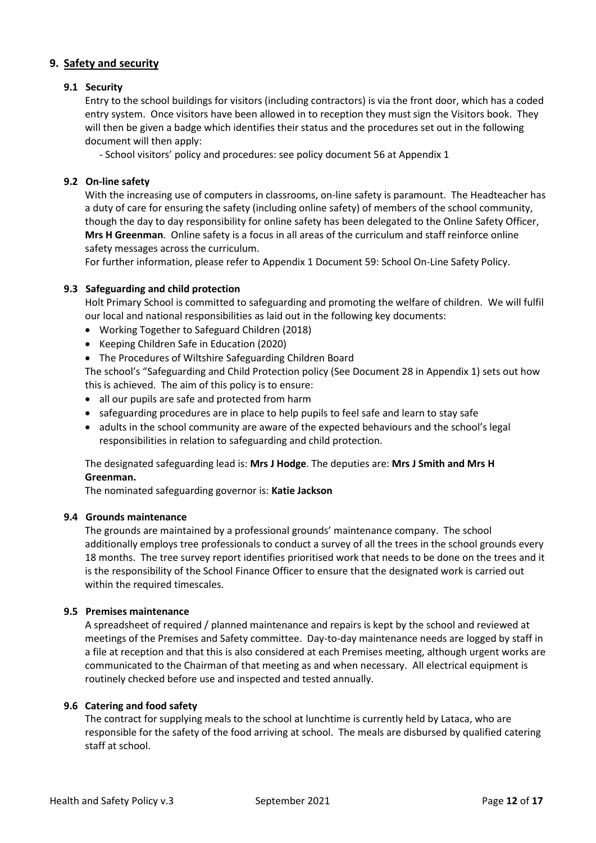# **9. Safety and security**

## **9.1 Security**

Entry to the school buildings for visitors (including contractors) is via the front door, which has a coded entry system. Once visitors have been allowed in to reception they must sign the Visitors book. They will then be given a badge which identifies their status and the procedures set out in the following document will then apply:

- School visitors' policy and procedures: see policy document 56 at Appendix 1

#### **9.2 On-line safety**

With the increasing use of computers in classrooms, on-line safety is paramount. The Headteacher has a duty of care for ensuring the safety (including online safety) of members of the school community, though the day to day responsibility for online safety has been delegated to the Online Safety Officer, **Mrs H Greenman**. Online safety is a focus in all areas of the curriculum and staff reinforce online safety messages across the curriculum.

For further information, please refer to Appendix 1 Document 59: School On-Line Safety Policy.

## **9.3 Safeguarding and child protection**

Holt Primary School is committed to safeguarding and promoting the welfare of children. We will fulfil our local and national responsibilities as laid out in the following key documents:

- Working Together to Safeguard Children (2018)
- Keeping Children Safe in Education (2020)
- The Procedures of Wiltshire Safeguarding Children Board

The school's "Safeguarding and Child Protection policy (See Document 28 in Appendix 1) sets out how this is achieved. The aim of this policy is to ensure:

- all our pupils are safe and protected from harm
- safeguarding procedures are in place to help pupils to feel safe and learn to stay safe
- adults in the school community are aware of the expected behaviours and the school's legal responsibilities in relation to safeguarding and child protection.

## The designated safeguarding lead is: **Mrs J Hodge**. The deputies are: **Mrs J Smith and Mrs H Greenman.**

The nominated safeguarding governor is: **Katie Jackson**

#### **9.4 Grounds maintenance**

The grounds are maintained by a professional grounds' maintenance company. The school additionally employs tree professionals to conduct a survey of all the trees in the school grounds every 18 months. The tree survey report identifies prioritised work that needs to be done on the trees and it is the responsibility of the School Finance Officer to ensure that the designated work is carried out within the required timescales.

#### **9.5 Premises maintenance**

A spreadsheet of required / planned maintenance and repairs is kept by the school and reviewed at meetings of the Premises and Safety committee. Day-to-day maintenance needs are logged by staff in a file at reception and that this is also considered at each Premises meeting, although urgent works are communicated to the Chairman of that meeting as and when necessary. All electrical equipment is routinely checked before use and inspected and tested annually.

#### **9.6 Catering and food safety**

The contract for supplying meals to the school at lunchtime is currently held by Lataca, who are responsible for the safety of the food arriving at school. The meals are disbursed by qualified catering staff at school.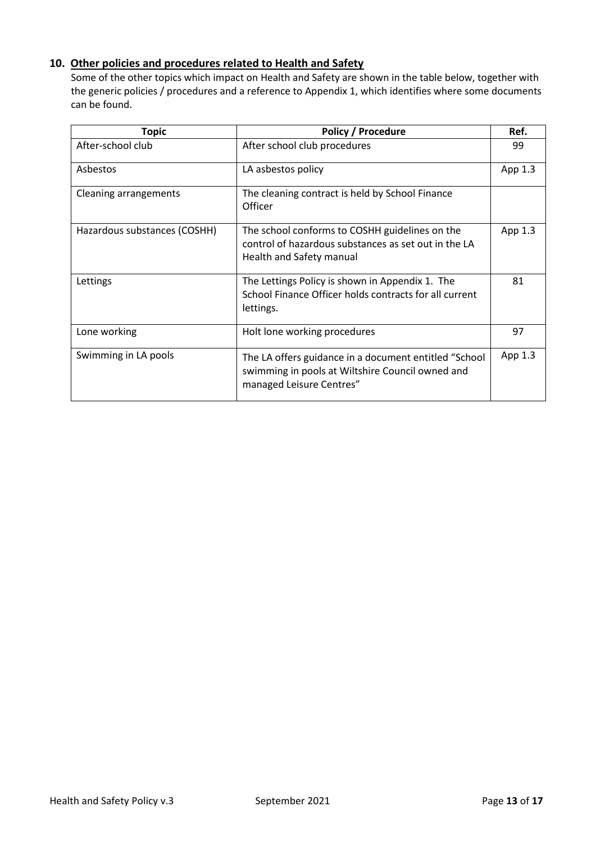# **10. Other policies and procedures related to Health and Safety**

Some of the other topics which impact on Health and Safety are shown in the table below, together with the generic policies / procedures and a reference to Appendix 1, which identifies where some documents can be found.

| <b>Topic</b>                 | <b>Policy / Procedure</b>                                                                                                             | Ref.      |
|------------------------------|---------------------------------------------------------------------------------------------------------------------------------------|-----------|
| After-school club            | After school club procedures                                                                                                          | 99        |
| Asbestos                     | LA asbestos policy                                                                                                                    | App 1.3   |
| Cleaning arrangements        | The cleaning contract is held by School Finance<br>Officer                                                                            |           |
| Hazardous substances (COSHH) | The school conforms to COSHH guidelines on the<br>control of hazardous substances as set out in the LA<br>Health and Safety manual    | App $1.3$ |
| Lettings                     | The Lettings Policy is shown in Appendix 1. The<br>School Finance Officer holds contracts for all current<br>lettings.                | 81        |
| Lone working                 | Holt lone working procedures                                                                                                          | 97        |
| Swimming in LA pools         | The LA offers guidance in a document entitled "School<br>swimming in pools at Wiltshire Council owned and<br>managed Leisure Centres" | App 1.3   |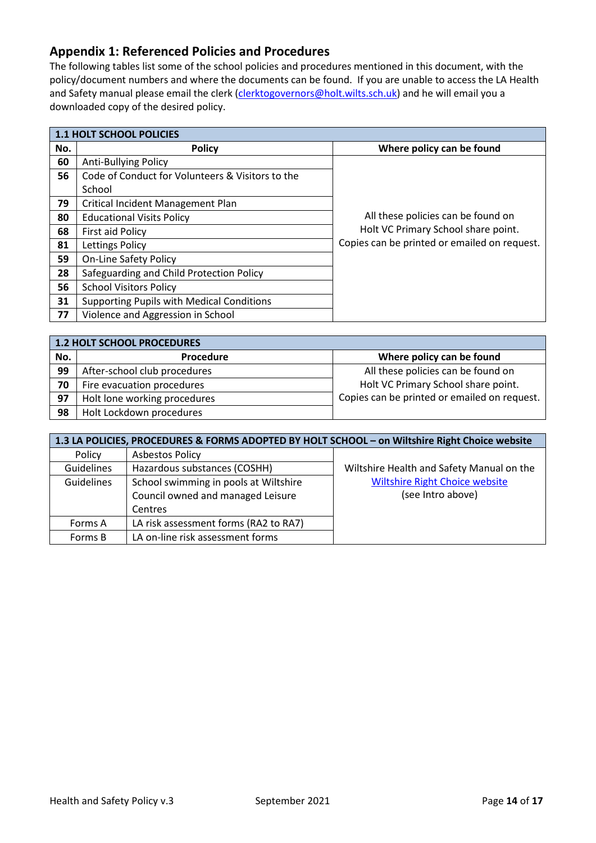# **Appendix 1: Referenced Policies and Procedures**

The following tables list some of the school policies and procedures mentioned in this document, with the policy/document numbers and where the documents can be found. If you are unable to access the LA Health and Safety manual please email the clerk [\(clerktogovernors@holt.wilts.sch.uk\)](mailto:clerktogovernors@holt.wilts.sch.uk) and he will email you a downloaded copy of the desired policy.

|     | <b>1.1 HOLT SCHOOL POLICIES</b>                  |                                              |  |  |
|-----|--------------------------------------------------|----------------------------------------------|--|--|
| No. | <b>Policy</b>                                    | Where policy can be found                    |  |  |
| 60  | <b>Anti-Bullying Policy</b>                      |                                              |  |  |
| 56  | Code of Conduct for Volunteers & Visitors to the |                                              |  |  |
|     | School                                           |                                              |  |  |
| 79  | Critical Incident Management Plan                |                                              |  |  |
| 80  | <b>Educational Visits Policy</b>                 | All these policies can be found on           |  |  |
| 68  | First aid Policy                                 | Holt VC Primary School share point.          |  |  |
| 81  | Lettings Policy                                  | Copies can be printed or emailed on request. |  |  |
| 59  | <b>On-Line Safety Policy</b>                     |                                              |  |  |
| 28  | Safeguarding and Child Protection Policy         |                                              |  |  |
| 56  | <b>School Visitors Policy</b>                    |                                              |  |  |
| 31  | <b>Supporting Pupils with Medical Conditions</b> |                                              |  |  |
| 77  | Violence and Aggression in School                |                                              |  |  |

| 1.2 HOLT SCHOOL PROCEDURES |                              |                                              |  |
|----------------------------|------------------------------|----------------------------------------------|--|
| No.                        | <b>Procedure</b>             | Where policy can be found                    |  |
| 99                         | After-school club procedures | All these policies can be found on           |  |
| 70                         | Fire evacuation procedures   | Holt VC Primary School share point.          |  |
| 97                         | Holt lone working procedures | Copies can be printed or emailed on request. |  |
| 98                         | Holt Lockdown procedures     |                                              |  |

| 1.3 LA POLICIES, PROCEDURES & FORMS ADOPTED BY HOLT SCHOOL - on Wiltshire Right Choice website |                                       |                                           |  |
|------------------------------------------------------------------------------------------------|---------------------------------------|-------------------------------------------|--|
| Policy                                                                                         | <b>Asbestos Policy</b>                |                                           |  |
| Guidelines                                                                                     | Hazardous substances (COSHH)          | Wiltshire Health and Safety Manual on the |  |
| <b>Guidelines</b>                                                                              | School swimming in pools at Wiltshire | <b>Wiltshire Right Choice website</b>     |  |
|                                                                                                | Council owned and managed Leisure     | (see Intro above)                         |  |
|                                                                                                | Centres                               |                                           |  |
| Forms A                                                                                        | LA risk assessment forms (RA2 to RA7) |                                           |  |
| Forms B                                                                                        | LA on-line risk assessment forms      |                                           |  |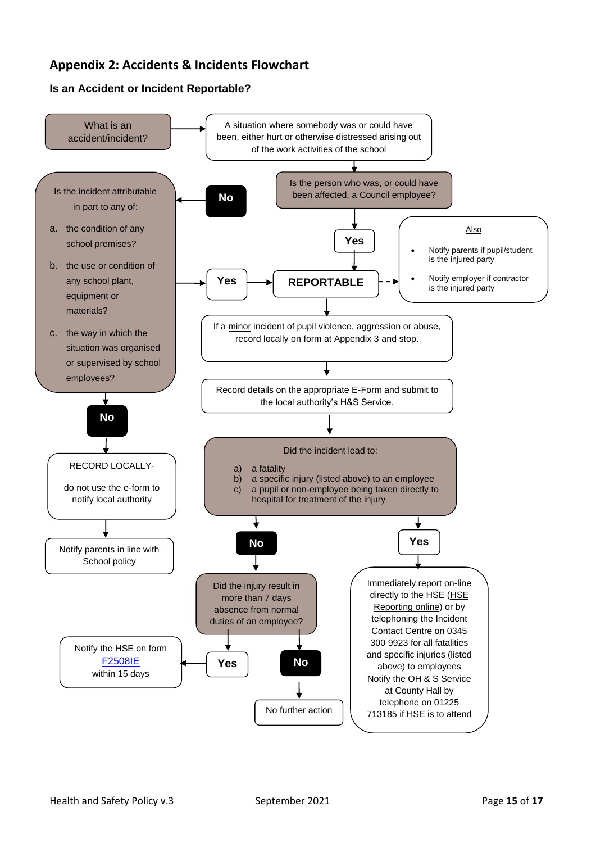# **Appendix 2: Accidents & Incidents Flowchart**

# **Is an Accident or Incident Reportable?**

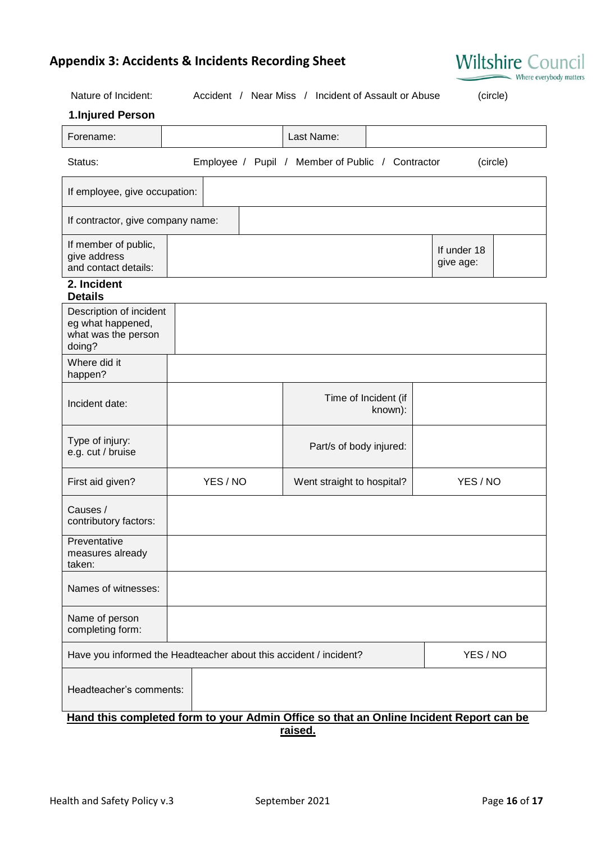# **Appendix 3: Accidents & Incidents Recording Sheet**

| Nature of Incident:                                                           | Accident / Near Miss / Incident of Assault or Abuse<br>(circle) |                                                                                        |                          |  |
|-------------------------------------------------------------------------------|-----------------------------------------------------------------|----------------------------------------------------------------------------------------|--------------------------|--|
| 1.Injured Person                                                              |                                                                 |                                                                                        |                          |  |
| Forename:                                                                     |                                                                 | Last Name:                                                                             |                          |  |
| Status:                                                                       |                                                                 | Employee / Pupil / Member of Public / Contractor                                       | (circle)                 |  |
| If employee, give occupation:                                                 |                                                                 |                                                                                        |                          |  |
| If contractor, give company name:                                             |                                                                 |                                                                                        |                          |  |
| If member of public,<br>give address<br>and contact details:                  |                                                                 |                                                                                        | If under 18<br>give age: |  |
| 2. Incident<br><b>Details</b>                                                 |                                                                 |                                                                                        |                          |  |
| Description of incident<br>eg what happened,<br>what was the person<br>doing? |                                                                 |                                                                                        |                          |  |
| Where did it<br>happen?                                                       |                                                                 |                                                                                        |                          |  |
| Incident date:                                                                |                                                                 | Time of Incident (if<br>known):                                                        |                          |  |
| Type of injury:<br>e.g. cut / bruise                                          |                                                                 | Part/s of body injured:                                                                |                          |  |
| First aid given?                                                              | YES / NO                                                        | YES / NO<br>Went straight to hospital?                                                 |                          |  |
| Causes /<br>contributory factors:                                             |                                                                 |                                                                                        |                          |  |
| Preventative<br>measures already<br>taken:                                    |                                                                 |                                                                                        |                          |  |
| Names of witnesses:                                                           |                                                                 |                                                                                        |                          |  |
| Name of person<br>completing form:                                            |                                                                 |                                                                                        |                          |  |
| Have you informed the Headteacher about this accident / incident?<br>YES / NO |                                                                 |                                                                                        |                          |  |
| Headteacher's comments:                                                       |                                                                 |                                                                                        |                          |  |
|                                                                               |                                                                 | Hand this completed form to your Admin Office so that an Online Incident Report can be |                          |  |